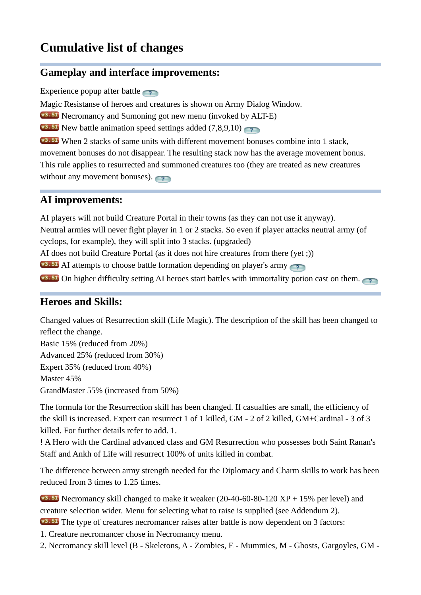# **Cumulative list of changes**

## **Gameplay and interface improvements:**

**Experiencepopup after battle** 

Magic Resistanse of heroes and creatures is shown on Army Dialog Window.

Necromancy and Sumoning got new menu (invoked by ALT-E)

**V3.51**New battle animation speed settings added  $(7,8,9,10)$ 

**WHEN** 2 stacks of same units with different movement bonuses combine into 1 stack, movement bonuses do not disappear. The resulting stack now has the average movement bonus. This rule applies to resurrected and summoned creatures too (they are treated as new creatures withoutany movement bonuses).

### **AI improvements:**

AI players will not build Creature Portal in their towns (as they can not use it anyway). Neutral armies will never fight player in 1 or 2 stacks. So even if player attacks neutral army (of cyclops, for example), they will split into 3 stacks. (upgraded) AI does not build Creature Portal (as it does not hire creatures from there (yet ;))  $\bullet$ <sup>3.51</sup>AI attempts to choose battle formation depending on player's army  $\sqrt{3.51}$ On higher difficulty setting AI heroes start battles with immortality potion cast on them.

# **Heroes and Skills:**

Changed values of Resurrection skill (Life Magic). The description of the skill has been changed to reflect the change.

Basic 15% (reduced from 20%) Advanced 25% (reduced from 30%) Expert 35% (reduced from 40%) Master 45% GrandMaster 55% (increased from 50%)

The formula for the Resurrection skill has been changed. If casualties are small, the efficiency of the skill is increased. Expert can resurrect 1 of 1 killed, GM - 2 of 2 killed, GM+Cardinal - 3 of 3 killed. For further details refer to add. 1.

! A Hero with the Cardinal advanced class and GM Resurrection who possesses both Saint Ranan's Staff and Ankh of Life will resurrect 100% of units killed in combat.

The difference between army strength needed for the Diplomacy and Charm skills to work has been reduced from 3 times to 1.25 times.

 $\sqrt{3.51}$  Necromancy skill changed to make it weaker (20-40-60-80-120 XP + 15% per level) and creature selection wider. Menu for selecting what to raise is supplied (see Addendum 2). **V3.51** The type of creatures necromancer raises after battle is now dependent on 3 factors:

1. Creature necromancer chose in Necromancy menu.

2. Necromancy skill level (B - Skeletons, A - Zombies, E - Mummies, M - Ghosts, Gargoyles, GM -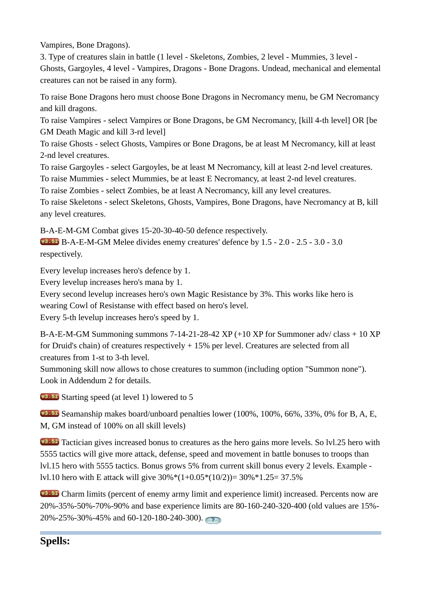Vampires, Bone Dragons).

3. Type of creatures slain in battle (1 level - Skeletons, Zombies, 2 level - Mummies, 3 level - Ghosts, Gargoyles, 4 level - Vampires, Dragons - Bone Dragons. Undead, mechanical and elemental creatures can not be raised in any form).

To raise Bone Dragons hero must choose Bone Dragons in Necromancy menu, be GM Necromancy and kill dragons.

To raise Vampires - select Vampires or Bone Dragons, be GM Necromancy, [kill 4-th level] OR [be GM Death Magic and kill 3-rd level]

To raise Ghosts - select Ghosts, Vampires or Bone Dragons, be at least M Necromancy, kill at least 2-nd level creatures.

To raise Gargoyles - select Gargoyles, be at least M Necromancy, kill at least 2-nd level creatures.

To raise Mummies - select Mummies, be at least E Necromancy, at least 2-nd level creatures.

To raise Zombies - select Zombies, be at least A Necromancy, kill any level creatures.

To raise Skeletons - select Skeletons, Ghosts, Vampires, Bone Dragons, have Necromancy at B, kill any level creatures.

B-A-E-M-GM Combat gives 15-20-30-40-50 defence respectively.

 B-A-E-M-GM Melee divides enemy creatures' defence by 1.5 - 2.0 - 2.5 - 3.0 - 3.0 respectively.

Every levelup increases hero's defence by 1.

Every levelup increases hero's mana by 1.

Every second levelup increases hero's own Magic Resistance by 3%. This works like hero is wearing Cowl of Resistanse with effect based on hero's level.

Every 5-th levelup increases hero's speed by 1.

B-A-E-M-GM Summoning summons 7-14-21-28-42 XP (+10 XP for Summoner adv/ class + 10 XP for Druid's chain) of creatures respectively + 15% per level. Creatures are selected from all creatures from 1-st to 3-th level.

Summoning skill now allows to chose creatures to summon (including option "Summon none"). Look in Addendum 2 for details.

**v3.51** Starting speed (at level 1) lowered to 5

 Seamanship makes board/unboard penalties lower (100%, 100%, 66%, 33%, 0% for B, A, E, M, GM instead of 100% on all skill levels)

**V3.51** Tactician gives increased bonus to creatures as the hero gains more levels. So lvl.25 hero with 5555 tactics will give more attack, defense, speed and movement in battle bonuses to troops than lvl.15 hero with 5555 tactics. Bonus grows 5% from current skill bonus every 2 levels. Example lvl.10 hero with E attack will give 30%\*(1+0.05\*(10/2))= 30%\*1.25= 37.5%

 Charm limits (percent of enemy army limit and experience limit) increased. Percents now are 20%-35%-50%-70%-90% and base experience limits are 80-160-240-320-400 (old values are 15%- 20%-25%-30%-45% and 60-120-180-240-300).

# **Spells:**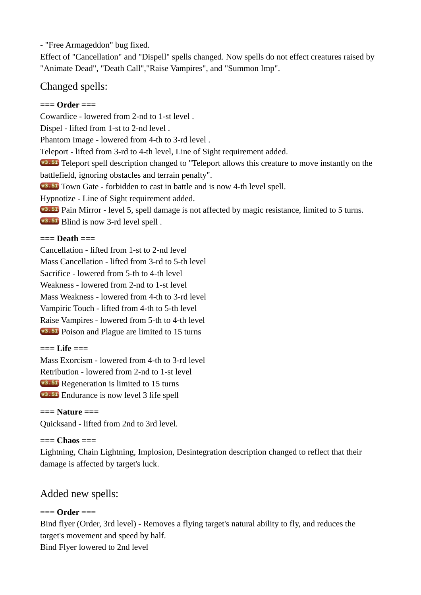- "Free Armageddon" bug fixed.

Effect of "Cancellation" and "Dispell" spells changed. Now spells do not effect creatures raised by "Animate Dead", "Death Call","Raise Vampires", and "Summon Imp".

# Changed spells:

### **=== Order ===**

Cowardice - lowered from 2-nd to 1-st level . Dispel - lifted from 1-st to 2-nd level . Phantom Image - lowered from 4-th to 3-rd level . Teleport - lifted from 3-rd to 4-th level, Line of Sight requirement added. **V3.51** Teleport spell description changed to "Teleport allows this creature to move instantly on the battlefield, ignoring obstacles and terrain penalty". **V3.51** Town Gate - forbidden to cast in battle and is now 4-th level spell. Hypnotize - Line of Sight requirement added. Pain Mirror - level 5, spell damage is not affected by magic resistance, limited to 5 turns. v<sub>3.51</sub></sub> Blind is now 3-rd level spell.

#### **=== Death ===**

Cancellation - lifted from 1-st to 2-nd level Mass Cancellation - lifted from 3-rd to 5-th level Sacrifice - lowered from 5-th to 4-th level Weakness - lowered from 2-nd to 1-st level Mass Weakness - lowered from 4-th to 3-rd level Vampiric Touch - lifted from 4-th to 5-th level Raise Vampires - lowered from 5-th to 4-th level **v3.51** Poison and Plague are limited to 15 turns

### **=== Life ===**

Mass Exorcism - lowered from 4-th to 3-rd level Retribution - lowered from 2-nd to 1-st level **v**<sup>3.51</sup> Regeneration is limited to 15 turns **v3.51** Endurance is now level 3 life spell

**=== Nature ===** Quicksand - lifted from 2nd to 3rd level.

### **=== Chaos ===**

Lightning, Chain Lightning, Implosion, Desintegration description changed to reflect that their damage is affected by target's luck.

# Added new spells:

### **=== Order ===**

Bind flyer (Order, 3rd level) - Removes a flying target's natural ability to fly, and reduces the target's movement and speed by half. Bind Flyer lowered to 2nd level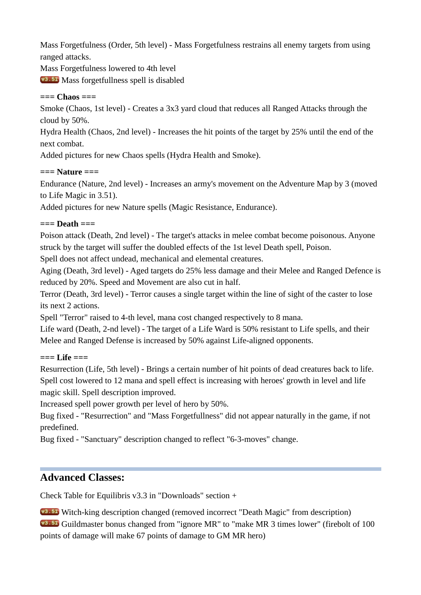Mass Forgetfulness (Order, 5th level) - Mass Forgetfulness restrains all enemy targets from using ranged attacks.

Mass Forgetfulness lowered to 4th level

**W3.51** Mass forgetfullness spell is disabled

### **=== Chaos ===**

Smoke (Chaos, 1st level) - Creates a 3x3 yard cloud that reduces all Ranged Attacks through the cloud by 50%.

Hydra Health (Chaos, 2nd level) - Increases the hit points of the target by 25% until the end of the next combat.

Added pictures for new Chaos spells (Hydra Health and Smoke).

### **=== Nature ===**

Endurance (Nature, 2nd level) - Increases an army's movement on the Adventure Map by 3 (moved to Life Magic in 3.51).

Added pictures for new Nature spells (Magic Resistance, Endurance).

## **=== Death ===**

Poison attack (Death, 2nd level) - The target's attacks in melee combat become poisonous. Anyone struck by the target will suffer the doubled effects of the 1st level Death spell, Poison.

Spell does not affect undead, mechanical and elemental creatures.

Aging (Death, 3rd level) - Aged targets do 25% less damage and their Melee and Ranged Defence is reduced by 20%. Speed and Movement are also cut in half.

Terror (Death, 3rd level) - Terror causes a single target within the line of sight of the caster to lose its next 2 actions.

Spell "Terror" raised to 4-th level, mana cost changed respectively to 8 mana.

Life ward (Death, 2-nd level) - The target of a Life Ward is 50% resistant to Life spells, and their Melee and Ranged Defense is increased by 50% against Life-aligned opponents.

### **=== Life ===**

Resurrection (Life, 5th level) - Brings a certain number of hit points of dead creatures back to life. Spell cost lowered to 12 mana and spell effect is increasing with heroes' growth in level and life magic skill. Spell description improved.

Increased spell power growth per level of hero by 50%.

Bug fixed - "Resurrection" and "Mass Forgetfullness" did not appear naturally in the game, if not predefined.

Bug fixed - "Sanctuary" description changed to reflect "6-3-moves" change.

# **Advanced Classes:**

Check Table for Equilibris v3.3 in "Downloads" section +

 Witch-king description changed (removed incorrect "Death Magic" from description) Guildmaster bonus changed from "ignore MR" to "make MR 3 times lower" (firebolt of 100 points of damage will make 67 points of damage to GM MR hero)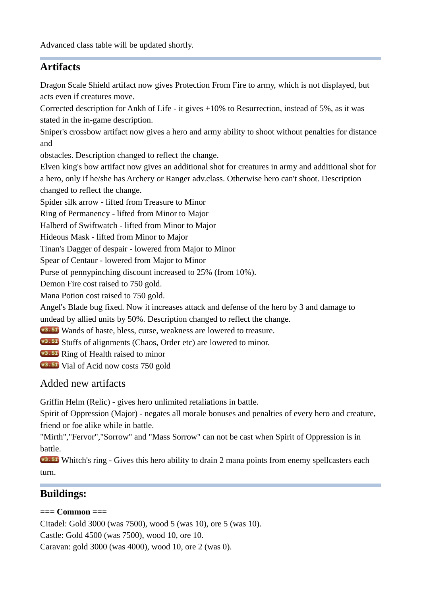# **Artifacts**

Dragon Scale Shield artifact now gives Protection From Fire to army, which is not displayed, but acts even if creatures move.

Corrected description for Ankh of Life - it gives +10% to Resurrection, instead of 5%, as it was stated in the in-game description.

Sniper's crossbow artifact now gives a hero and army ability to shoot without penalties for distance and

obstacles. Description changed to reflect the change.

Elven king's bow artifact now gives an additional shot for creatures in army and additional shot for a hero, only if he/she has Archery or Ranger adv.class. Otherwise hero can't shoot. Description changed to reflect the change.

Spider silk arrow - lifted from Treasure to Minor

Ring of Permanency - lifted from Minor to Major

Halberd of Swiftwatch - lifted from Minor to Major

Hideous Mask - lifted from Minor to Major

Tinan's Dagger of despair - lowered from Major to Minor

Spear of Centaur - lowered from Major to Minor

Purse of pennypinching discount increased to 25% (from 10%).

Demon Fire cost raised to 750 gold.

Mana Potion cost raised to 750 gold.

Angel's Blade bug fixed. Now it increases attack and defense of the hero by 3 and damage to

undead by allied units by 50%. Description changed to reflect the change.

**Wands of haste, bless, curse, weakness are lowered to treasure.** 

- **v3.51** Stuffs of alignments (Chaos, Order etc) are lowered to minor.
- **v3.51** Ring of Health raised to minor
- v<sub>3.51</sub></sub> Vial of Acid now costs 750 gold

# Added new artifacts

Griffin Helm (Relic) - gives hero unlimited retaliations in battle.

Spirit of Oppression (Major) - negates all morale bonuses and penalties of every hero and creature, friend or foe alike while in battle.

"Mirth","Fervor","Sorrow" and "Mass Sorrow" can not be cast when Spirit of Oppression is in battle.

**V3.51** Whitch's ring - Gives this hero ability to drain 2 mana points from enemy spellcasters each turn.

# **Buildings:**

### **=== Common ===**

Citadel: Gold 3000 (was 7500), wood 5 (was 10), ore 5 (was 10).

Castle: Gold 4500 (was 7500), wood 10, ore 10.

Caravan: gold 3000 (was 4000), wood 10, ore 2 (was 0).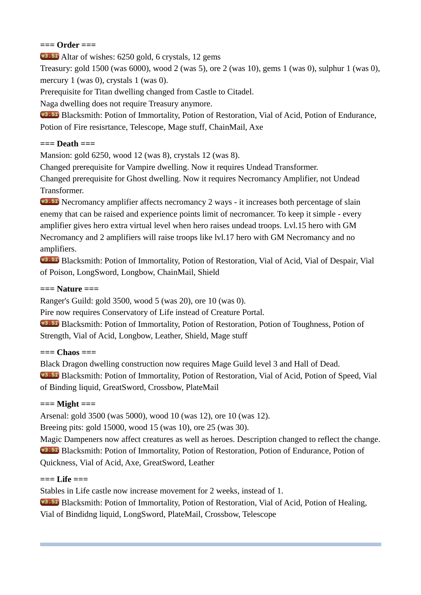#### **=== Order ===**

Altar of wishes: 6250 gold, 6 crystals, 12 gems

Treasury: gold 1500 (was 6000), wood 2 (was 5), ore 2 (was 10), gems 1 (was 0), sulphur 1 (was 0), mercury 1 (was 0), crystals 1 (was 0).

Prerequisite for Titan dwelling changed from Castle to Citadel.

Naga dwelling does not require Treasury anymore.

 Blacksmith: Potion of Immortality, Potion of Restoration, Vial of Acid, Potion of Endurance, Potion of Fire resisrtance, Telescope, Mage stuff, ChainMail, Axe

#### **=== Death ===**

Mansion: gold 6250, wood 12 (was 8), crystals 12 (was 8).

Changed prerequisite for Vampire dwelling. Now it requires Undead Transformer.

Changed prerequisite for Ghost dwelling. Now it requires Necromancy Amplifier, not Undead Transformer.

**V3.51** Necromancy amplifier affects necromancy 2 ways - it increases both percentage of slain enemy that can be raised and experience points limit of necromancer. To keep it simple - every amplifier gives hero extra virtual level when hero raises undead troops. Lvl.15 hero with GM Necromancy and 2 amplifiers will raise troops like lvl.17 hero with GM Necromancy and no amplifiers.

 Blacksmith: Potion of Immortality, Potion of Restoration, Vial of Acid, Vial of Despair, Vial of Poison, LongSword, Longbow, ChainMail, Shield

#### **=== Nature ===**

Ranger's Guild: gold 3500, wood 5 (was 20), ore 10 (was 0).

Pire now requires Conservatory of Life instead of Creature Portal.

 Blacksmith: Potion of Immortality, Potion of Restoration, Potion of Toughness, Potion of Strength, Vial of Acid, Longbow, Leather, Shield, Mage stuff

#### **=== Chaos ===**

Black Dragon dwelling construction now requires Mage Guild level 3 and Hall of Dead. Blacksmith: Potion of Immortality, Potion of Restoration, Vial of Acid, Potion of Speed, Vial of Binding liquid, GreatSword, Crossbow, PlateMail

#### **=== Might ===**

Arsenal: gold 3500 (was 5000), wood 10 (was 12), ore 10 (was 12).

Breeing pits: gold 15000, wood 15 (was 10), ore 25 (was 30).

Magic Dampeners now affect creatures as well as heroes. Description changed to reflect the change. Blacksmith: Potion of Immortality, Potion of Restoration, Potion of Endurance, Potion of Quickness, Vial of Acid, Axe, GreatSword, Leather

#### **=== Life ===**

Stables in Life castle now increase movement for 2 weeks, instead of 1.

 Blacksmith: Potion of Immortality, Potion of Restoration, Vial of Acid, Potion of Healing, Vial of Bindidng liquid, LongSword, PlateMail, Crossbow, Telescope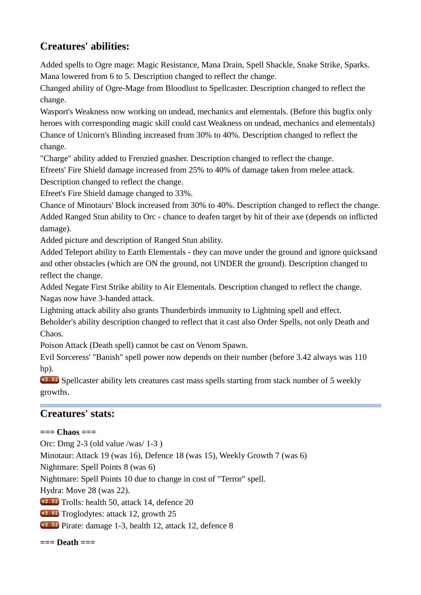# **Creatures' abilities:**

Added spells to Ogre mage: Magic Resistance, Mana Drain, Spell Shackle, Snake Strike, Sparks. Mana lowered from 6 to 5. Description changed to reflect the change.

Changed ability of Ogre-Mage from Bloodlust to Spellcaster. Description changed to reflect the change.

Wasport's Weakness now working on undead, mechanics and elementals. (Before this bugfix only heroes with corresponding magic skill could cast Weakness on undead, mechanics and elementals) Chance of Unicorn's Blinding increased from 30% to 40%. Description changed to reflect the change.

"Charge" ability added to Frenzied gnasher. Description changed to reflect the change.

Efreets' Fire Shield damage increased from 25% to 40% of damage taken from melee attack.

Description changed to reflect the change.

Efreet's Fire Shield damage changed to 33%.

Chance of Minotaurs' Block increased from 30% to 40%. Description changed to reflect the change. Added Ranged Stun ability to Orc - chance to deafen target by hit of their axe (depends on inflicted damage).

Added picture and description of Ranged Stun ability.

Added Teleport ability to Earth Elementals - they can move under the ground and ignore quicksand and other obstacles (which are ON the ground, not UNDER the ground). Description changed to reflect the change.

Added Negate First Strike ability to Air Elementals. Description changed to reflect the change. Nagas now have 3-handed attack.

Lightning attack ability also grants Thunderbirds immunity to Lightning spell and effect.

Beholder's ability description changed to reflect that it cast also Order Spells, not only Death and Chaos.

Poison Attack (Death spell) cannot be cast on Venom Spawn.

Evil Sorceress' "Banish" spell power now depends on their number (before 3.42 always was 110 hp).

**V3.51** Spellcaster ability lets creatures cast mass spells starting from stack number of 5 weekly growths.

# **Creatures' stats:**

### **=== Chaos ===**

Orc: Dmg 2-3 (old value /was/ 1-3 ) Minotaur: Attack 19 (was 16), Defence 18 (was 15), Weekly Growth 7 (was 6) Nightmare: Spell Points 8 (was 6) Nightmare: Spell Points 10 due to change in cost of "Terror" spell. Hydra: Move 28 (was 22). v<sub>3</sub>.<sub>51</sub></sub> Trolls: health 50, attack 14, defence 20 v<sup>3.51</sup> Troglodytes: attack 12, growth 25 Pirate: damage 1-3, health 12, attack 12, defence 8 **=== Death ===**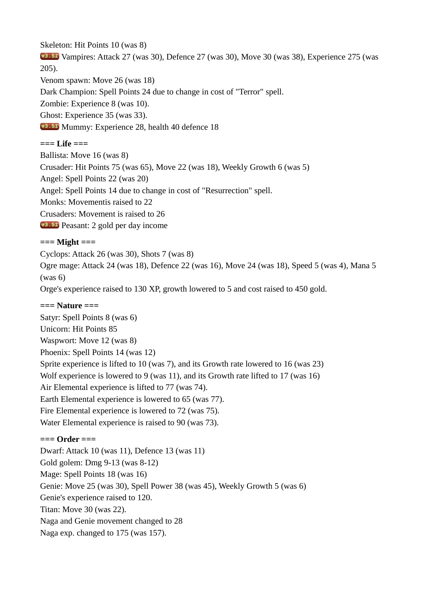Skeleton: Hit Points 10 (was 8)

 Vampires: Attack 27 (was 30), Defence 27 (was 30), Move 30 (was 38), Experience 275 (was 205).

Venom spawn: Move 26 (was 18)

Dark Champion: Spell Points 24 due to change in cost of "Terror" spell.

Zombie: Experience 8 (was 10).

Ghost: Experience 35 (was 33).

**v3.51** Mummy: Experience 28, health 40 defence 18

#### **=== Life ===**

Ballista: Move 16 (was 8) Crusader: Hit Points 75 (was 65), Move 22 (was 18), Weekly Growth 6 (was 5) Angel: Spell Points 22 (was 20) Angel: Spell Points 14 due to change in cost of "Resurrection" spell. Monks: Movementis raised to 22 Crusaders: Movement is raised to 26 Peasant: 2 gold per day income

### **=== Might ===**

Cyclops: Attack 26 (was 30), Shots 7 (was 8) Ogre mage: Attack 24 (was 18), Defence 22 (was 16), Move 24 (was 18), Speed 5 (was 4), Mana 5 (was 6) Orge's experience raised to 130 XP, growth lowered to 5 and cost raised to 450 gold.

#### **=== Nature ===**

Satyr: Spell Points 8 (was 6) Unicorn: Hit Points 85 Waspwort: Move 12 (was 8) Phoenix: Spell Points 14 (was 12) Sprite experience is lifted to 10 (was 7), and its Growth rate lowered to 16 (was 23) Wolf experience is lowered to 9 (was 11), and its Growth rate lifted to 17 (was 16) Air Elemental experience is lifted to 77 (was 74). Earth Elemental experience is lowered to 65 (was 77). Fire Elemental experience is lowered to 72 (was 75). Water Elemental experience is raised to 90 (was 73).

#### **=== Order ===**

Dwarf: Attack 10 (was 11), Defence 13 (was 11) Gold golem: Dmg 9-13 (was 8-12) Mage: Spell Points 18 (was 16) Genie: Move 25 (was 30), Spell Power 38 (was 45), Weekly Growth 5 (was 6) Genie's experience raised to 120. Titan: Move 30 (was 22). Naga and Genie movement changed to 28 Naga exp. changed to 175 (was 157).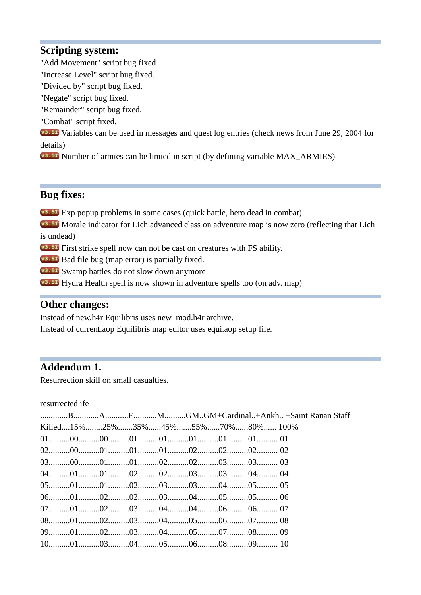### **Scripting system:**

- "Add Movement" script bug fixed.
- "Increase Level" script bug fixed.
- "Divided by" script bug fixed.
- "Negate" script bug fixed.
- "Remainder" script bug fixed.
- "Combat" script fixed.

**V**<sup>3.51</sup> Variables can be used in messages and quest log entries (check news from June 29, 2004 for details)

Number of armies can be limied in script (by defining variable MAX\_ARMIES)

## **Bug fixes:**

Exp popup problems in some cases (quick battle, hero dead in combat)

**V3.51** Morale indicator for Lich advanced class on adventure map is now zero (reflecting that Lich is undead)

**V3.51** First strike spell now can not be cast on creatures with FS ability.

**v3.51** Bad file bug (map error) is partially fixed.

**v3.51** Swamp battles do not slow down anymore

**EXACTLE 15 Hydra Health spell is now shown in adventure spells too (on adv. map)** 

### **Other changes:**

Instead of new.h4r Equilibris uses new\_mod.h4r archive.

Instead of current.aop Equilibris map editor uses equi.aop setup file.

# **Addendum 1.**

Resurrection skill on small casualties.

resurrected ifе

| Killed15%25%35%45%55%70%80%100% |  |  |  |  |
|---------------------------------|--|--|--|--|
|                                 |  |  |  |  |
|                                 |  |  |  |  |
|                                 |  |  |  |  |
|                                 |  |  |  |  |
|                                 |  |  |  |  |
|                                 |  |  |  |  |
|                                 |  |  |  |  |
|                                 |  |  |  |  |
|                                 |  |  |  |  |
|                                 |  |  |  |  |